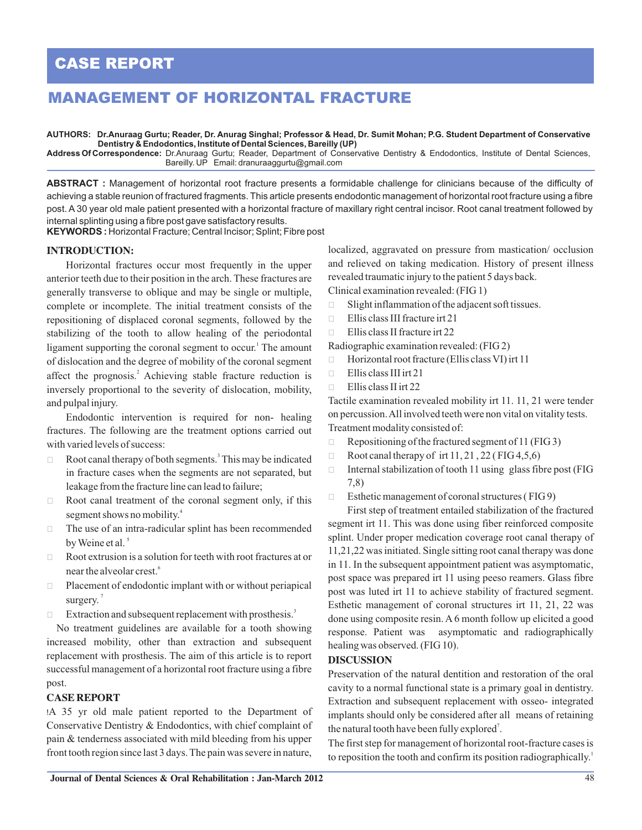# **CASE REPORT**

# **MANAGEMENT OF HORIZONTAL FRACTURE**

**AUTHORS: Dr.Anuraag Gurtu; Reader, Dr. Anurag Singhal; Professor & Head, Dr. Sumit Mohan; P.G. Student Department of Conservative Dentistry & Endodontics, Institute of Dental Sciences, Bareilly (UP)**

**Address Of Correspondence:** Dr.Anuraag Gurtu; Reader, Department of Conservative Dentistry & Endodontics, Institute of Dental Sciences, Bareilly. UP Email: dranuraaggurtu@gmail.com

**ABSTRACT :** Management of horizontal root fracture presents a formidable challenge for clinicians because of the difficulty of achieving a stable reunion of fractured fragments. This article presents endodontic management of horizontal root fracture using a fibre post. A 30 year old male patient presented with a horizontal fracture of maxillary right central incisor. Root canal treatment followed by internal splinting using a fibre post gave satisfactory results.

**KEYWORDS :** Horizontal Fracture; Central Incisor; Splint; Fibre post

# **INTRODUCTION:**

Horizontal fractures occur most frequently in the upper anterior teeth due to their position in the arch. These fractures are generally transverse to oblique and may be single or multiple, complete or incomplete. The initial treatment consists of the repositioning of displaced coronal segments, followed by the stabilizing of the tooth to allow healing of the periodontal ligament supporting the coronal segment to occur.<sup>1</sup> The amount of dislocation and the degree of mobility of the coronal segment affect the prognosis.<sup>2</sup> Achieving stable fracture reduction is inversely proportional to the severity of dislocation, mobility, and pulpal injury.

Endodontic intervention is required for non- healing fractures. The following are the treatment options carried out with varied levels of success:

- □ Root canal therapy of both segments.<sup>3</sup> This may be indicated in fracture cases when the segments are not separated, but leakage from the fracture line can lead to failure;
- □ Root canal treatment of the coronal segment only, if this segment shows no mobility.<sup>4</sup>
- $\Box$  The use of an intra-radicular splint has been recommended by Weine et al.<sup>5</sup>
- $\Box$  Root extrusion is a solution for teeth with root fractures at or near the alveolar crest.<sup>6</sup>
- $\Box$  Placement of endodontic implant with or without periapical surgery.<sup>7</sup>
- $\Box$  Extraction and subsequent replacement with prosthesis.<sup>3</sup>

 No treatment guidelines are available for a tooth showing increased mobility, other than extraction and subsequent replacement with prosthesis. The aim of this article is to report successful management of a horizontal root fracture using a fibre post.

## **CASE REPORT**

!A 35 yr old male patient reported to the Department of Conservative Dentistry & Endodontics, with chief complaint of pain & tenderness associated with mild bleeding from his upper front tooth region since last 3 days. The pain was severe in nature,

localized, aggravated on pressure from mastication/ occlusion and relieved on taking medication. History of present illness revealed traumatic injury to the patient 5 days back. Clinical examination revealed: (FIG 1)

- $\Box$  Slight inflammation of the adjacent soft tissues.
- **Ellis class III fracture irt 21**
- $\Box$  Ellis class II fracture irt 22

#### Radiographic examination revealed: (FIG 2)

- $\Box$  Horizontal root fracture (Ellis class VI) irt 11
- $\Box$  Ellis class III irt 21
- $\Box$  Ellis class II irt 22

Tactile examination revealed mobility irt 11. 11, 21 were tender on percussion. All involved teeth were non vital on vitality tests. Treatment modality consisted of:

- $\Box$  Repositioning of the fractured segment of 11 (FIG 3)
- $\Box$  Root canal therapy of irt 11, 21, 22 (FIG 4, 5, 6)
- $\Box$  Internal stabilization of tooth 11 using glass fibre post (FIG 7,8)
- $\Box$  Esthetic management of coronal structures (FIG 9)

First step of treatment entailed stabilization of the fractured segment irt 11. This was done using fiber reinforced composite splint. Under proper medication coverage root canal therapy of 11,21,22 was initiated. Single sitting root canal therapy was done in 11. In the subsequent appointment patient was asymptomatic, post space was prepared irt 11 using peeso reamers. Glass fibre post was luted irt 11 to achieve stability of fractured segment. Esthetic management of coronal structures irt 11, 21, 22 was done using composite resin. A 6 month follow up elicited a good response. Patient was asymptomatic and radiographically healing was observed. (FIG 10).

#### **DISCUSSION**

Preservation of the natural dentition and restoration of the oral cavity to a normal functional state is a primary goal in dentistry. Extraction and subsequent replacement with osseo- integrated implants should only be considered after all means of retaining the natural tooth have been fully explored<sup>7</sup>.

The first step for management of horizontal root-fracture cases is to reposition the tooth and confirm its position radiographically.<sup>1</sup>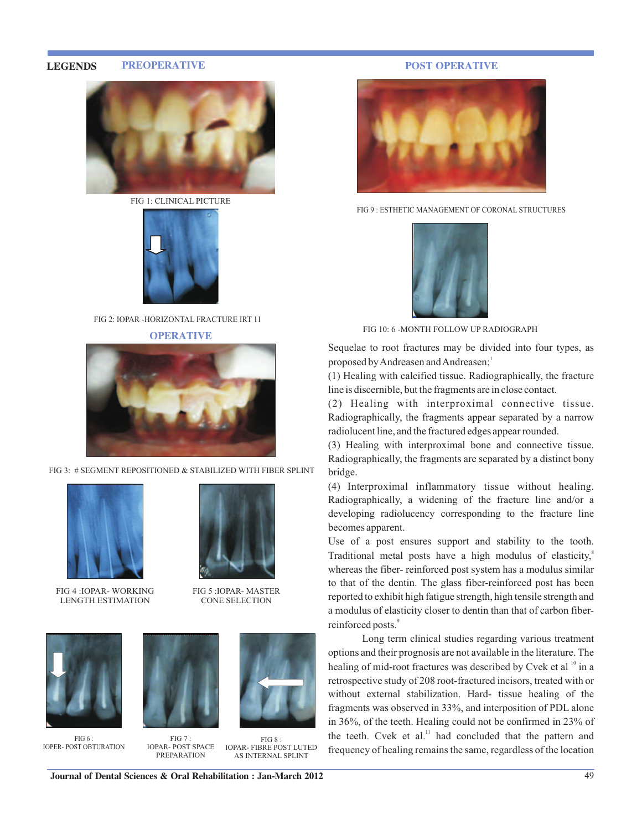#### **LEGENDS PREOPERATIVE**



FIG 1: CLINICAL PICTURE



FIG 2: IOPAR -HORIZONTAL FRACTURE IRT 11

**OPERATIVE**



FIG 3: # SEGMENT REPOSITIONED & STABILIZED WITH FIBER SPLINT



FIG 4 :IOPAR- WORKING LENGTH ESTIMATION



FIG 5 :IOPAR- MASTER CONE SELECTION



FIG 6 : IOPER- POST OBTURATION



FIG 7 : IOPAR- POST SPACE PREPARATION



FIG 8 : IOPAR- FIBRE POST LUTED AS INTERNAL SPLINT

### **POST OPERATIVE**



FIG 9 : ESTHETIC MANAGEMENT OF CORONAL STRUCTURES



FIG 10: 6 -MONTH FOLLOW UP RADIOGRAPH

Sequelae to root fractures may be divided into four types, as proposed by Andreasen and Andreasen:<sup>1</sup>

(1) Healing with calcified tissue. Radiographically, the fracture line is discernible, but the fragments are in close contact.

(2) Healing with interproximal connective tissue. Radiographically, the fragments appear separated by a narrow radiolucent line, and the fractured edges appear rounded.

(3) Healing with interproximal bone and connective tissue. Radiographically, the fragments are separated by a distinct bony bridge.

(4) Interproximal inflammatory tissue without healing. Radiographically, a widening of the fracture line and/or a developing radiolucency corresponding to the fracture line becomes apparent.

Use of a post ensures support and stability to the tooth. Traditional metal posts have a high modulus of elasticity,<sup>8</sup> whereas the fiber- reinforced post system has a modulus similar to that of the dentin. The glass fiber-reinforced post has been reported to exhibit high fatigue strength, high tensile strength and a modulus of elasticity closer to dentin than that of carbon fiberreinforced posts.<sup>9</sup>

 Long term clinical studies regarding various treatment options and their prognosis are not available in the literature. The healing of mid-root fractures was described by Cvek et al <sup>10</sup> in a retrospective study of 208 root-fractured incisors, treated with or without external stabilization. Hard- tissue healing of the fragments was observed in 33%, and interposition of PDL alone in 36%, of the teeth. Healing could not be confirmed in 23% of the teeth. Cvek et al.<sup>11</sup> had concluded that the pattern and frequency of healing remains the same, regardless of the location